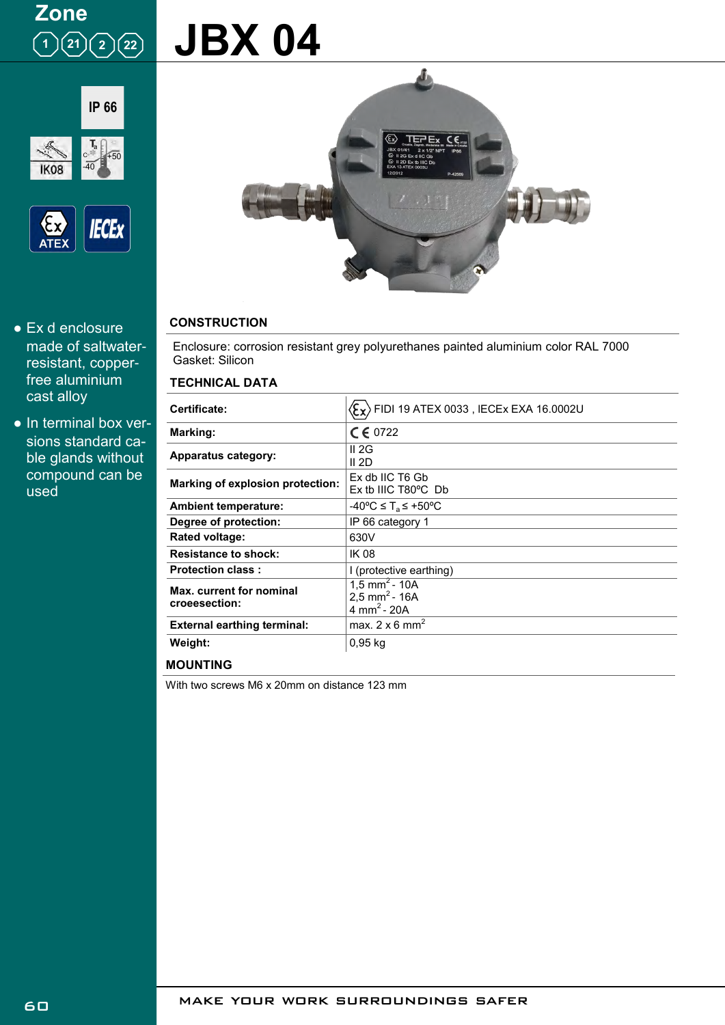## **Zone**  $(1)(21)(2)(22)$

# **JBX 04**





- Ex d enclosure made of saltwaterresistant, copperfree aluminium cast alloy
- In terminal box versions standard cable glands without compound can be used



### **CONSTRUCTION**

Enclosure: corrosion resistant grey polyurethanes painted aluminium color RAL 7000 Gasket: Silicon

#### **TECHNICAL DATA**

| Certificate:                              | $\langle \xi_{\mathbf{x}} \rangle$ FIDI 19 ATEX 0033 , IECEx EXA 16.0002U           |
|-------------------------------------------|-------------------------------------------------------------------------------------|
| Marking:                                  | $C \in 0722$                                                                        |
| Apparatus category:                       | II 2G<br>II 2D                                                                      |
| Marking of explosion protection:          | Ex db IIC T6 Gb<br>$Ex$ tb IIIC T80 $^{\circ}$ C Db                                 |
| <b>Ambient temperature:</b>               | -40°C ≤ T $_{\rm s}$ ≤ +50°C                                                        |
| Degree of protection:                     | IP 66 category 1                                                                    |
| Rated voltage:                            | 630V                                                                                |
| <b>Resistance to shock:</b>               | <b>IK 08</b>                                                                        |
| <b>Protection class:</b>                  | I (protective earthing)                                                             |
| Max. current for nominal<br>croeesection: | $1,5$ mm <sup>2</sup> - 10A<br>2.5 mm <sup>2</sup> - 16A<br>4 mm <sup>2</sup> - 20A |
| <b>External earthing terminal:</b>        | max. $2 \times 6$ mm <sup>2</sup>                                                   |
| Weight:                                   | $0,95$ kg                                                                           |

**MOUNTING**

With two screws M6 x 20mm on distance 123 mm